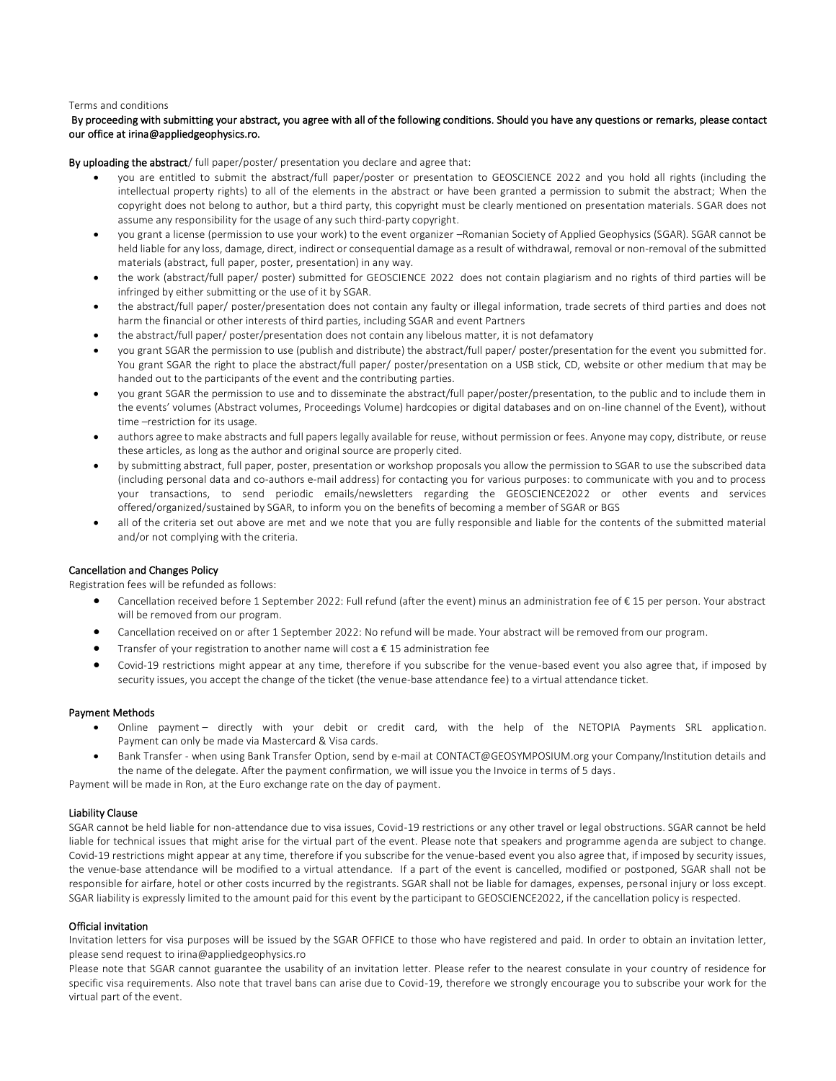#### Terms and conditions

# By proceeding with submitting your abstract, you agree with all of the following conditions. Should you have any questions or remarks, please contact our office at irina@appliedgeophysics.ro.

By uploading the abstract/ full paper/poster/ presentation you declare and agree that:

- you are entitled to submit the abstract/full paper/poster or presentation to GEOSCIENCE 2022 and you hold all rights (including the intellectual property rights) to all of the elements in the abstract or have been granted a permission to submit the abstract; When the copyright does not belong to author, but a third party, this copyright must be clearly mentioned on presentation materials. SGAR does not assume any responsibility for the usage of any such third-party copyright.
- you grant a license (permission to use your work) to the event organizer –Romanian Society of Applied Geophysics (SGAR). SGAR cannot be held liable for any loss, damage, direct, indirect or consequential damage as a result of withdrawal, removal or non-removal of the submitted materials (abstract, full paper, poster, presentation) in any way.
- the work (abstract/full paper/ poster) submitted for GEOSCIENCE 2022 does not contain plagiarism and no rights of third parties will be infringed by either submitting or the use of it by SGAR.
- the abstract/full paper/ poster/presentation does not contain any faulty or illegal information, trade secrets of third parties and does not harm the financial or other interests of third parties, including SGAR and event Partners
- the abstract/full paper/ poster/presentation does not contain any libelous matter, it is not defamatory
- you grant SGAR the permission to use (publish and distribute) the abstract/full paper/ poster/presentation for the event you submitted for. You grant SGAR the right to place the abstract/full paper/ poster/presentation on a USB stick, CD, website or other medium that may be handed out to the participants of the event and the contributing parties.
- you grant SGAR the permission to use and to disseminate the abstract/full paper/poster/presentation, to the public and to include them in the events' volumes (Abstract volumes, Proceedings Volume) hardcopies or digital databases and on on-line channel of the Event), without time –restriction for its usage.
- authors agree to make abstracts and full papers legally available for reuse, without permission or fees. Anyone may copy, distribute, or reuse these articles, as long as the author and original source are properly cited.
- by submitting abstract, full paper, poster, presentation or workshop proposals you allow the permission to SGAR to use the subscribed data (including personal data and co-authors e-mail address) for contacting you for various purposes: to communicate with you and to process your transactions, to send periodic emails/newsletters regarding the GEOSCIENCE2022 or other events and services offered/organized/sustained by SGAR, to inform you on the benefits of becoming a member of SGAR or BGS
- all of the criteria set out above are met and we note that you are fully responsible and liable for the contents of the submitted material and/or not complying with the criteria.

## Cancellation and Changes Policy

Registration fees will be refunded as follows:

- Cancellation received before 1 September 2022: Full refund (after the event) minus an administration fee of € 15 per person. Your abstract will be removed from our program.
- Cancellation received on or after 1 September 2022: No refund will be made. Your abstract will be removed from our program.
- Transfer of your registration to another name will cost a  $\epsilon$  15 administration fee
- Covid-19 restrictions might appear at any time, therefore if you subscribe for the venue-based event you also agree that, if imposed by security issues, you accept the change of the ticket (the venue-base attendance fee) to a virtual attendance ticket.

#### Payment Methods

- Online payment directly with your debit or credit card, with the help of the NETOPIA Payments SRL application. Payment can only be made via Mastercard & Visa cards.
- Bank Transfer when using Bank Transfer Option, send by e-mail at CONTACT@GEOSYMPOSIUM.org your Company/Institution details and the name of the delegate. After the payment confirmation, we will issue you the Invoice in terms of 5 days.

Payment will be made in Ron, at the Euro exchange rate on the day of payment.

# Liability Clause

SGAR cannot be held liable for non-attendance due to visa issues, Covid-19 restrictions or any other travel or legal obstructions. SGAR cannot be held liable for technical issues that might arise for the virtual part of the event. Please note that speakers and programme agenda are subject to change. Covid-19 restrictions might appear at any time, therefore if you subscribe for the venue-based event you also agree that, if imposed by security issues, the venue-base attendance will be modified to a virtual attendance. If a part of the event is cancelled, modified or postponed, SGAR shall not be responsible for airfare, hotel or other costs incurred by the registrants. SGAR shall not be liable for damages, expenses, personal injury or loss except. SGAR liability is expressly limited to the amount paid for this event by the participant to GEOSCIENCE2022, if the cancellation policy is respected.

## Official invitation

Invitation letters for visa purposes will be issued by the SGAR OFFICE to those who have registered and paid. In order to obtain an invitation letter, please send request to irina@appliedgeophysics.ro

Please note that SGAR cannot guarantee the usability of an invitation letter. Please refer to the nearest consulate in your country of residence for specific visa requirements. Also note that travel bans can arise due to Covid-19, therefore we strongly encourage you to subscribe your work for the virtual part of the event.